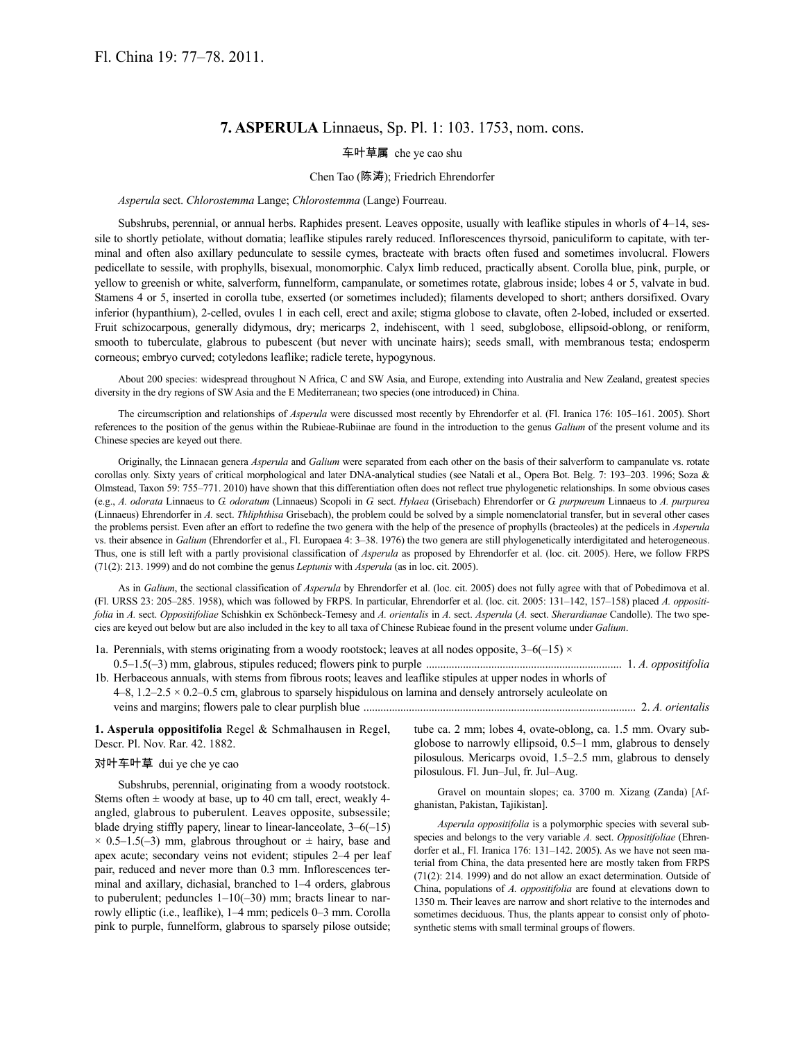## **7. ASPERULA** Linnaeus, Sp. Pl. 1: 103. 1753, nom. cons.

### 车叶草属 che ye cao shu

#### Chen Tao (陈涛); Friedrich Ehrendorfer

#### *Asperula* sect. *Chlorostemma* Lange; *Chlorostemma* (Lange) Fourreau.

Subshrubs, perennial, or annual herbs. Raphides present. Leaves opposite, usually with leaflike stipules in whorls of 4–14, sessile to shortly petiolate, without domatia; leaflike stipules rarely reduced. Inflorescences thyrsoid, paniculiform to capitate, with terminal and often also axillary pedunculate to sessile cymes, bracteate with bracts often fused and sometimes involucral. Flowers pedicellate to sessile, with prophylls, bisexual, monomorphic. Calyx limb reduced, practically absent. Corolla blue, pink, purple, or yellow to greenish or white, salverform, funnelform, campanulate, or sometimes rotate, glabrous inside; lobes 4 or 5, valvate in bud. Stamens 4 or 5, inserted in corolla tube, exserted (or sometimes included); filaments developed to short; anthers dorsifixed. Ovary inferior (hypanthium), 2-celled, ovules 1 in each cell, erect and axile; stigma globose to clavate, often 2-lobed, included or exserted. Fruit schizocarpous, generally didymous, dry; mericarps 2, indehiscent, with 1 seed, subglobose, ellipsoid-oblong, or reniform, smooth to tuberculate, glabrous to pubescent (but never with uncinate hairs); seeds small, with membranous testa; endosperm corneous; embryo curved; cotyledons leaflike; radicle terete, hypogynous.

About 200 species: widespread throughout N Africa, C and SW Asia, and Europe, extending into Australia and New Zealand, greatest species diversity in the dry regions of SW Asia and the E Mediterranean; two species (one introduced) in China.

The circumscription and relationships of *Asperula* were discussed most recently by Ehrendorfer et al. (Fl. Iranica 176: 105–161. 2005). Short references to the position of the genus within the Rubieae-Rubiinae are found in the introduction to the genus *Galium* of the present volume and its Chinese species are keyed out there.

Originally, the Linnaean genera *Asperula* and *Galium* were separated from each other on the basis of their salverform to campanulate vs. rotate corollas only. Sixty years of critical morphological and later DNA-analytical studies (see Natali et al., Opera Bot. Belg. 7: 193-203. 1996; Soza & Olmstead, Taxon 59: 755–771. 2010) have shown that this differentiation often does not reflect true phylogenetic relationships. In some obvious cases (e.g., *A. odorata* Linnaeus to *G. odoratum* (Linnaeus) Scopoli in *G.* sect. *Hylaea* (Grisebach) Ehrendorfer or *G. purpureum* Linnaeus to *A. purpurea* (Linnaeus) Ehrendorfer in *A.* sect. *Thliphthisa* Grisebach), the problem could be solved by a simple nomenclatorial transfer, but in several other cases the problems persist. Even after an effort to redefine the two genera with the help of the presence of prophylls (bracteoles) at the pedicels in *Asperula* vs. their absence in *Galium* (Ehrendorfer et al., Fl. Europaea 4: 3–38. 1976) the two genera are still phylogenetically interdigitated and heterogeneous. Thus, one is still left with a partly provisional classification of *Asperula* as proposed by Ehrendorfer et al. (loc. cit. 2005). Here, we follow FRPS (71(2): 213. 1999) and do not combine the genus *Leptunis* with *Asperula* (as in loc. cit. 2005).

As in *Galium*, the sectional classification of *Asperula* by Ehrendorfer et al. (loc. cit. 2005) does not fully agree with that of Pobedimova et al. (Fl. URSS 23: 205–285. 1958), which was followed by FRPS. In particular, Ehrendorfer et al. (loc. cit. 2005: 131–142, 157–158) placed *A. oppositifolia* in *A.* sect. *Oppositifoliae* Schishkin ex Schönbeck-Temesy and *A. orientalis* in *A.* sect. *Asperula* (*A.* sect. *Sherardianae* Candolle). The two species are keyed out below but are also included in the key to all taxa of Chinese Rubieae found in the present volume under *Galium*.

1a. Perennials, with stems originating from a woody rootstock; leaves at all nodes opposite,  $3-6(-15) \times$ 0.5–1.5(–3) mm, glabrous, stipules reduced; flowers pink to purple ..................................................................... 1. *A. oppositifolia* 1b. Herbaceous annuals, with stems from fibrous roots; leaves and leaflike stipules at upper nodes in whorls of

4–8, 1.2–2.5 × 0.2–0.5 cm, glabrous to sparsely hispidulous on lamina and densely antrorsely aculeolate on veins and margins; flowers pale to clear purplish blue ................................................................................................ 2. *A. orientalis*

### **1. Asperula oppositifolia** Regel & Schmalhausen in Regel, Descr. Pl. Nov. Rar. 42. 1882.

### 对叶车叶草 dui ye che ye cao

Subshrubs, perennial, originating from a woody rootstock. Stems often  $\pm$  woody at base, up to 40 cm tall, erect, weakly 4angled, glabrous to puberulent. Leaves opposite, subsessile; blade drying stiffly papery, linear to linear-lanceolate, 3–6(–15)  $\times$  0.5–1.5(–3) mm, glabrous throughout or  $\pm$  hairy, base and apex acute; secondary veins not evident; stipules 2–4 per leaf pair, reduced and never more than 0.3 mm. Inflorescences terminal and axillary, dichasial, branched to 1–4 orders, glabrous to puberulent; peduncles  $1-10(-30)$  mm; bracts linear to narrowly elliptic (i.e., leaflike), 1–4 mm; pedicels 0–3 mm. Corolla pink to purple, funnelform, glabrous to sparsely pilose outside;

tube ca. 2 mm; lobes 4, ovate-oblong, ca. 1.5 mm. Ovary subglobose to narrowly ellipsoid, 0.5–1 mm, glabrous to densely pilosulous. Mericarps ovoid, 1.5–2.5 mm, glabrous to densely pilosulous. Fl. Jun–Jul, fr. Jul–Aug.

Gravel on mountain slopes; ca. 3700 m. Xizang (Zanda) [Afghanistan, Pakistan, Tajikistan].

*Asperula oppositifolia* is a polymorphic species with several subspecies and belongs to the very variable *A.* sect. *Oppositifoliae* (Ehrendorfer et al., Fl. Iranica 176: 131–142. 2005). As we have not seen material from China, the data presented here are mostly taken from FRPS (71(2): 214. 1999) and do not allow an exact determination. Outside of China, populations of *A. oppositifolia* are found at elevations down to 1350 m. Their leaves are narrow and short relative to the internodes and sometimes deciduous. Thus, the plants appear to consist only of photosynthetic stems with small terminal groups of flowers.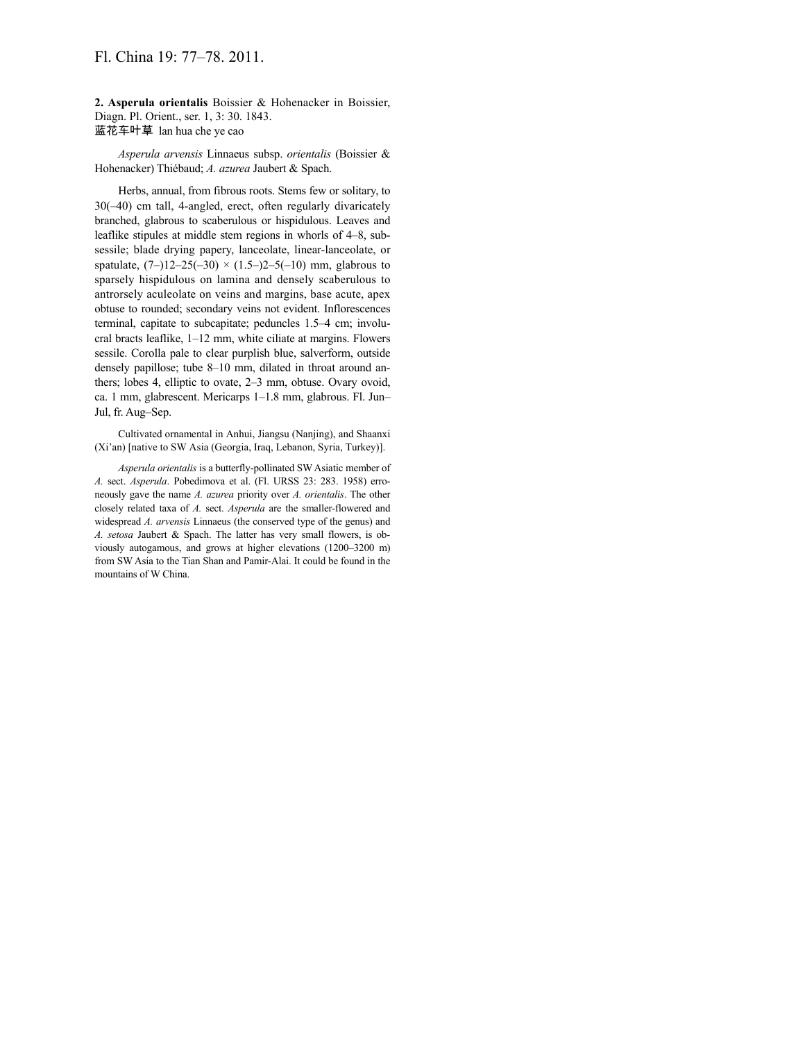# Fl. China 19: 77–78. 2011.

**2. Asperula orientalis** Boissier & Hohenacker in Boissier, Diagn. Pl. Orient., ser. 1, 3: 30. 1843. 蓝花车叶草 lan hua che ye cao

*Asperula arvensis* Linnaeus subsp. *orientalis* (Boissier & Hohenacker) Thiébaud; *A. azurea* Jaubert & Spach.

Herbs, annual, from fibrous roots. Stems few or solitary, to 30(–40) cm tall, 4-angled, erect, often regularly divaricately branched, glabrous to scaberulous or hispidulous. Leaves and leaflike stipules at middle stem regions in whorls of 4–8, subsessile; blade drying papery, lanceolate, linear-lanceolate, or spatulate,  $(7-)12-25(-30) \times (1.5-)2-5(-10)$  mm, glabrous to sparsely hispidulous on lamina and densely scaberulous to antrorsely aculeolate on veins and margins, base acute, apex obtuse to rounded; secondary veins not evident. Inflorescences terminal, capitate to subcapitate; peduncles 1.5–4 cm; involucral bracts leaflike, 1–12 mm, white ciliate at margins. Flowers sessile. Corolla pale to clear purplish blue, salverform, outside densely papillose; tube 8–10 mm, dilated in throat around anthers; lobes 4, elliptic to ovate, 2–3 mm, obtuse. Ovary ovoid, ca. 1 mm, glabrescent. Mericarps 1–1.8 mm, glabrous. Fl. Jun– Jul, fr. Aug–Sep.

Cultivated ornamental in Anhui, Jiangsu (Nanjing), and Shaanxi (Xi'an) [native to SW Asia (Georgia, Iraq, Lebanon, Syria, Turkey)].

*Asperula orientalis* is a butterfly-pollinated SW Asiatic member of *A.* sect. *Asperula*. Pobedimova et al. (Fl. URSS 23: 283. 1958) erroneously gave the name *A. azurea* priority over *A. orientalis*. The other closely related taxa of *A.* sect. *Asperula* are the smaller-flowered and widespread *A. arvensis* Linnaeus (the conserved type of the genus) and *A. setosa* Jaubert & Spach. The latter has very small flowers, is obviously autogamous, and grows at higher elevations (1200–3200 m) from SW Asia to the Tian Shan and Pamir-Alai. It could be found in the mountains of W China.